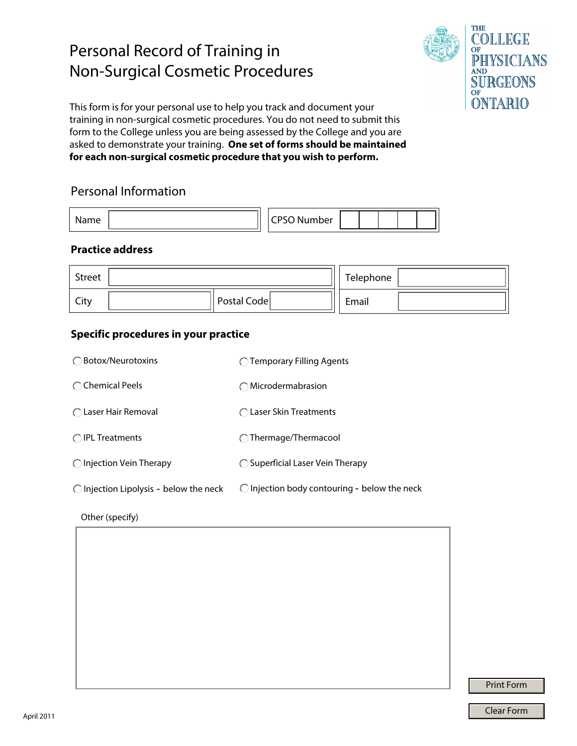# Personal Record of Training in Non-Surgical Cosmetic Procedures



This form is for your personal use to help you track and document your training in non-surgical cosmetic procedures. You do not need to submit this form to the College unless you are being assessed by the College and you are asked to demonstrate your training. **One set of forms should be maintained for each non-surgical cosmetic procedure that you wish to perform.**

## Personal Information

|  | ~~<br>ונו<br>~_<br>∼ |  |  |  |
|--|----------------------|--|--|--|
|  |                      |  |  |  |

#### **Practice address**

| Street |             | Telephone |  |
|--------|-------------|-----------|--|
| City   | Postal Code | Email     |  |

### **Specific procedures in your practice**

| ◯ Botox/Neurotoxins                             | $\bigcap$ Temporary Filling Agents                    |
|-------------------------------------------------|-------------------------------------------------------|
| ◯ Chemical Peels                                | Microdermabrasion                                     |
| $\bigcap$ Laser Hair Removal                    | ◯ Laser Skin Treatments                               |
| $\bigcap$ IPL Treatments                        | $\bigcap$ Thermage/Thermacool                         |
| $\bigcirc$ Injection Vein Therapy               | $\bigcirc$ Superficial Laser Vein Therapy             |
| $\bigcirc$ Injection Lipolysis - below the neck | $\bigcirc$ Injection body contouring - below the neck |

Other (specify)

Print Form

Clear Form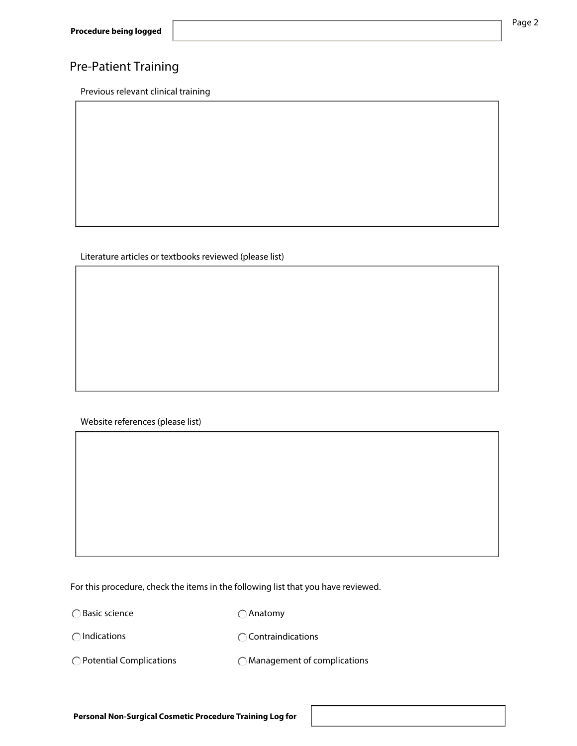## Pre-Patient Training

Previous relevant clinical training

#### Literature articles or textbooks reviewed (please list)

Website references (please list)

For this procedure, check the items in the following list that you have reviewed.

○Basic science

Anatomy

 $\bigcap$  Indications

**C** Contraindications

Potential Complications

Management of complications

Page 2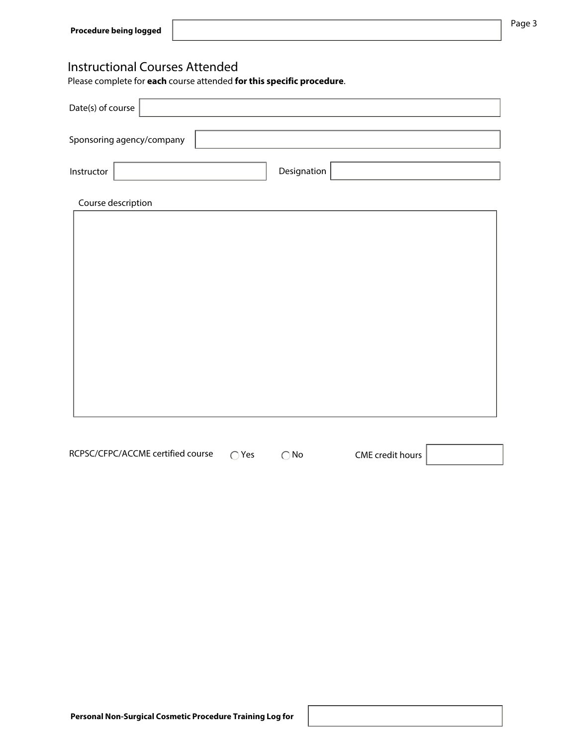## Instructional Courses Attended

Please complete for **each** course attended **for this specific procedure**.

| Date(s) of course |                           |  |             |  |  |  |  |  |
|-------------------|---------------------------|--|-------------|--|--|--|--|--|
|                   | Sponsoring agency/company |  |             |  |  |  |  |  |
| Instructor        |                           |  | Designation |  |  |  |  |  |
|                   | Course description        |  |             |  |  |  |  |  |
|                   |                           |  |             |  |  |  |  |  |
|                   |                           |  |             |  |  |  |  |  |
|                   |                           |  |             |  |  |  |  |  |
|                   |                           |  |             |  |  |  |  |  |
|                   |                           |  |             |  |  |  |  |  |
|                   |                           |  |             |  |  |  |  |  |
|                   |                           |  |             |  |  |  |  |  |

CME credit hours RCPSC/CFPC/ACCME certified course  $\bigcap$  Yes  $\bigcap$  No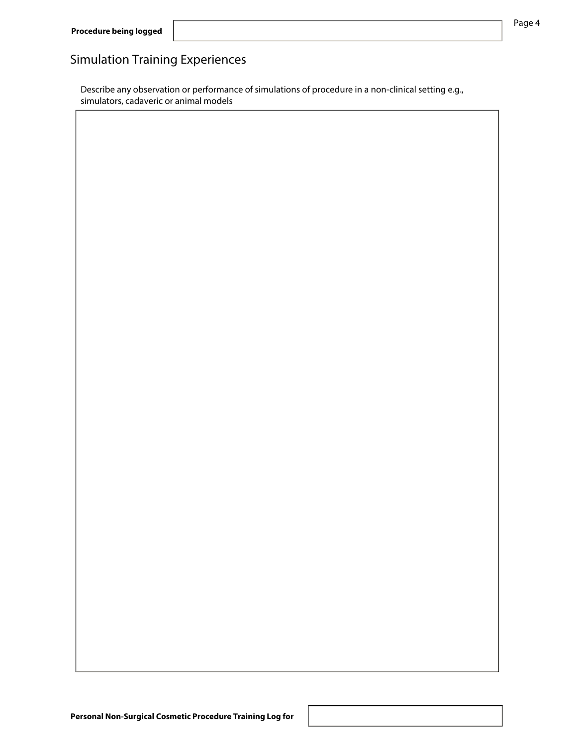# Simulation Training Experiences

Describe any observation or performance of simulations of procedure in a non-clinical setting e.g., simulators, cadaveric or animal models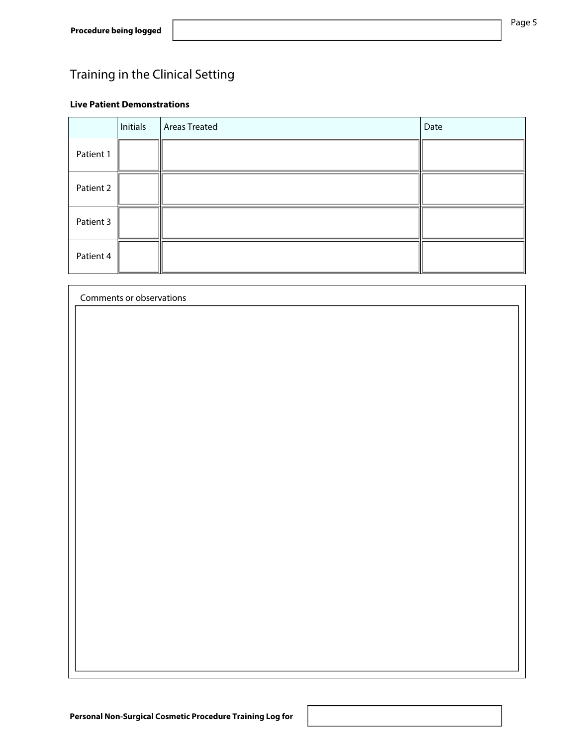# Training in the Clinical Setting

#### **Live Patient Demonstrations**

|           | Initials | Areas Treated | Date |
|-----------|----------|---------------|------|
| Patient 1 |          |               |      |
| Patient 2 |          |               |      |
| Patient 3 |          |               |      |
| Patient 4 |          |               |      |

| Comments or observations |  |  |  |  |  |  |  |  |
|--------------------------|--|--|--|--|--|--|--|--|
|                          |  |  |  |  |  |  |  |  |
|                          |  |  |  |  |  |  |  |  |
|                          |  |  |  |  |  |  |  |  |
|                          |  |  |  |  |  |  |  |  |
|                          |  |  |  |  |  |  |  |  |
|                          |  |  |  |  |  |  |  |  |
|                          |  |  |  |  |  |  |  |  |
|                          |  |  |  |  |  |  |  |  |
|                          |  |  |  |  |  |  |  |  |
|                          |  |  |  |  |  |  |  |  |
|                          |  |  |  |  |  |  |  |  |
|                          |  |  |  |  |  |  |  |  |
|                          |  |  |  |  |  |  |  |  |
|                          |  |  |  |  |  |  |  |  |
|                          |  |  |  |  |  |  |  |  |
|                          |  |  |  |  |  |  |  |  |
|                          |  |  |  |  |  |  |  |  |
|                          |  |  |  |  |  |  |  |  |
|                          |  |  |  |  |  |  |  |  |
|                          |  |  |  |  |  |  |  |  |
|                          |  |  |  |  |  |  |  |  |
|                          |  |  |  |  |  |  |  |  |
|                          |  |  |  |  |  |  |  |  |